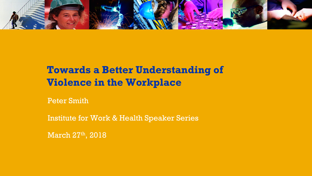

# **Towards a Better Understanding of Violence in the Workplace**

Peter Smith

Institute for Work & Health Speaker Series

March 27th, 2018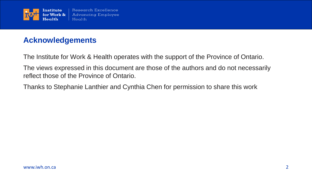

## **Acknowledgements**

The Institute for Work & Health operates with the support of the Province of Ontario.

The views expressed in this document are those of the authors and do not necessarily reflect those of the Province of Ontario.

Thanks to Stephanie Lanthier and Cynthia Chen for permission to share this work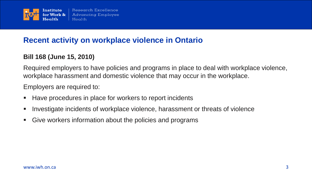

#### **Recent activity on workplace violence in Ontario**

#### **Bill 168 (June 15, 2010)**

Required employers to have policies and programs in place to deal with workplace violence, workplace harassment and domestic violence that may occur in the workplace.

Employers are required to:

- Have procedures in place for workers to report incidents
- Investigate incidents of workplace violence, harassment or threats of violence
- Give workers information about the policies and programs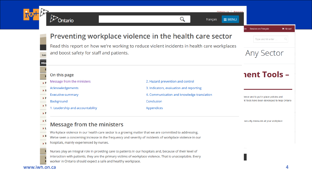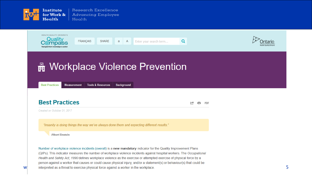



(QIPs). This indicator measures the number of workplace violence incidents against hospital workers. The Occupational Health and Safety Act, 1990 defines workplace violence as the exercise or attempted exercise of physical force by a person against a worker that causes or could cause physical injury, and/or a statement(s) or behaviour(s) that could be  $w$  interpreted as a threat to exercise physical force against a worker in the workplace.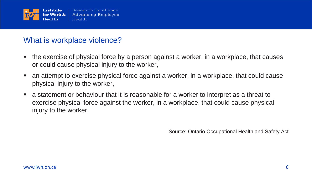

#### What is workplace violence?

- the exercise of physical force by a person against a worker, in a workplace, that causes or could cause physical injury to the worker,
- an attempt to exercise physical force against a worker, in a workplace, that could cause physical injury to the worker,
- a statement or behaviour that it is reasonable for a worker to interpret as a threat to exercise physical force against the worker, in a workplace, that could cause physical injury to the worker.

Source: Ontario Occupational Health and Safety Act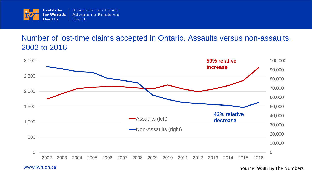

## Number of lost-time claims accepted in Ontario. Assaults versus non-assaults. 2002 to 2016



www.iwh.on.ca 7 Source: WSIB By The Numbers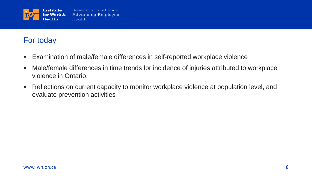

## For today

- Examination of male/female differences in self-reported workplace violence
- Male/female differences in time trends for incidence of injuries attributed to workplace violence in Ontario.
- Reflections on current capacity to monitor workplace violence at population level, and evaluate prevention activities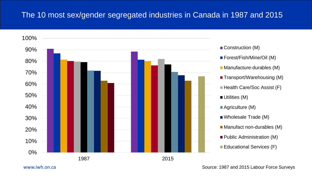#### The 10 most sex/gender segregated industries in Canada in 1987 and 2015



www.iwh.on.ca **Source: 1987 and 2015 Labour Force Surveys** Source: 1987 and 2015 Labour Force Surveys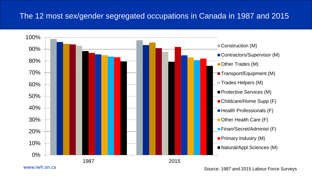## The 12 most sex/gender segregated occupations in Canada in 1987 and 2015



www.iwh.on.ca

Source: 1987 and 2015 Labour Force Surveys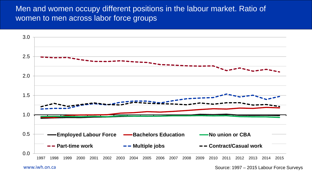#### Men and women occupy different positions in the labour market. Ratio of women to men across labor force groups



www.iwh.on.ca 11 Source: 1997 – 2015 Labour Force Surveys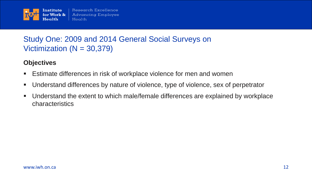

## Study One: 2009 and 2014 General Social Surveys on Victimization  $(N = 30,379)$

#### **Objectives**

- **Estimate differences in risk of workplace violence for men and women**
- Understand differences by nature of violence, type of violence, sex of perpetrator
- Understand the extent to which male/female differences are explained by workplace characteristics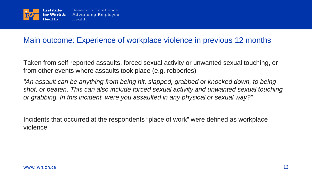

#### Main outcome: Experience of workplace violence in previous 12 months

Taken from self-reported assaults, forced sexual activity or unwanted sexual touching, or from other events where assaults took place (e.g. robberies)

*"An assault can be anything from being hit, slapped, grabbed or knocked down, to being shot, or beaten. This can also include forced sexual activity and unwanted sexual touching or grabbing. In this incident, were you assaulted in any physical or sexual way?"*

Incidents that occurred at the respondents "place of work" were defined as workplace violence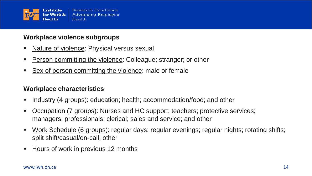

#### **Workplace violence subgroups**

- Nature of violence: Physical versus sexual
- Person committing the violence: Colleague; stranger; or other
- Sex of person committing the violence: male or female

#### **Workplace characteristics**

- Industry (4 groups): education; health; accommodation/food; and other
- Occupation (7 groups): Nurses and HC support; teachers; protective services; managers; professionals; clerical; sales and service; and other
- Work Schedule (6 groups): regular days; regular evenings; regular nights; rotating shifts; split shift/casual/on-call; other
- Hours of work in previous 12 months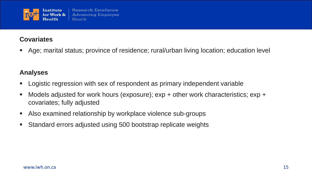

#### **Covariates**

Age; marital status; province of residence; rural/urban living location; education level

#### **Analyses**

- Logistic regression with sex of respondent as primary independent variable
- Models adjusted for work hours (exposure); exp + other work characteristics; exp + covariates; fully adjusted
- Also examined relationship by workplace violence sub-groups
- Standard errors adjusted using 500 bootstrap replicate weights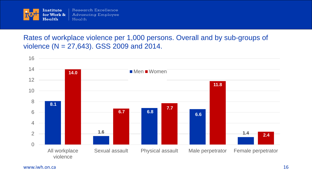

Rates of workplace violence per 1,000 persons. Overall and by sub-groups of violence (N = 27,643). GSS 2009 and 2014.

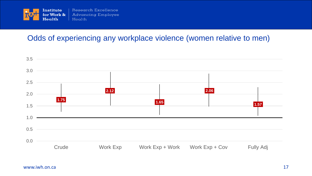

## Odds of experiencing any workplace violence (women relative to men)

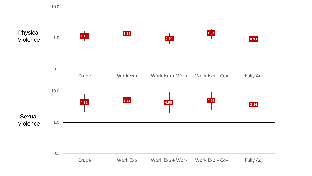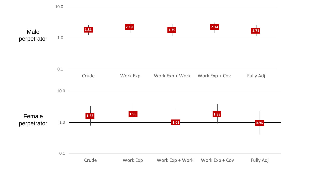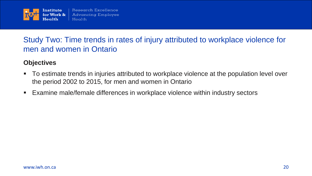

## Study Two: Time trends in rates of injury attributed to workplace violence for men and women in Ontario

#### **Objectives**

- To estimate trends in injuries attributed to workplace violence at the population level over the period 2002 to 2015, for men and women in Ontario
- Examine male/female differences in workplace violence within industry sectors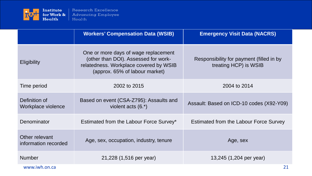

|                                        | <b>Workers' Compensation Data (WSIB)</b>                                                                                                                 | <b>Emergency Visit Data (NACRS)</b>                               |
|----------------------------------------|----------------------------------------------------------------------------------------------------------------------------------------------------------|-------------------------------------------------------------------|
| <b>Eligibility</b>                     | One or more days of wage replacement<br>(other than DOI). Assessed for work-<br>relatedness. Workplace covered by WSIB<br>(approx. 65% of labour market) | Responsibility for payment (filled in by<br>treating HCP) is WSIB |
| Time period                            | 2002 to 2015                                                                                                                                             | 2004 to 2014                                                      |
| Definition of<br>Workplace violence    | Based on event (CSA-Z795): Assaults and<br>violent acts $(6.*)$                                                                                          | Assault: Based on ICD-10 codes (X92-Y09)                          |
| Denominator                            | Estimated from the Labour Force Survey*                                                                                                                  | <b>Estimated from the Labour Force Survey</b>                     |
| Other relevant<br>information recorded | Age, sex, occupation, industry, tenure                                                                                                                   | Age, sex                                                          |
| <b>Number</b>                          | 21,228 (1,516 per year)                                                                                                                                  | 13,245 (1,204 per year)                                           |
| www.iwh.on.ca                          |                                                                                                                                                          | 21                                                                |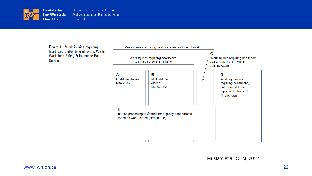

Figure 1 Work injuries requiring healthcare and/or time off work. WSIB, Workplace Safety & Insurance Board Ontario.

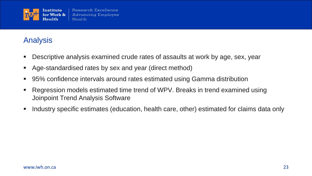

## Analysis

- Descriptive analysis examined crude rates of assaults at work by age, sex, year
- Age-standardised rates by sex and year (direct method)
- 95% confidence intervals around rates estimated using Gamma distribution
- Regression models estimated time trend of WPV. Breaks in trend examined using Joinpoint Trend Analysis Software
- **I.** Industry specific estimates (education, health care, other) estimated for claims data only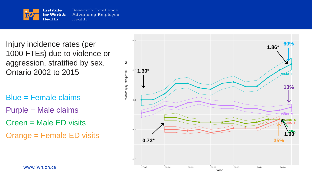

Injury incidence rates (per 1000 FTEs) due to violence or aggression, stratified by sex. Ontario 2002 to 2015

Blue = Female claims

Purple = Male claims

Green = Male ED visits

Orange = Female ED visits

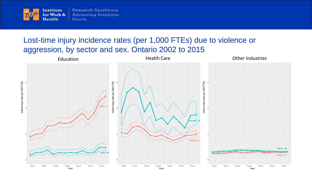

#### Lost-time injury incidence rates (per 1,000 FTEs) due to violence or aggression, by sector and sex. Ontario 2002 to 2015

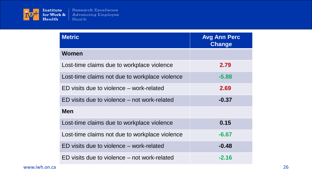

| <b>Metric</b>                                  | <b>Avg Ann Perc</b><br><b>Change</b> |
|------------------------------------------------|--------------------------------------|
| Women                                          |                                      |
| Lost-time claims due to workplace violence     | 2.79                                 |
| Lost-time claims not due to workplace violence | $-5.88$                              |
| ED visits due to violence – work-related       | 2.69                                 |
| ED visits due to violence – not work-related   | $-0.37$                              |
| <b>Men</b>                                     |                                      |
| Lost-time claims due to workplace violence     | 0.15                                 |
| Lost-time claims not due to workplace violence | $-6.67$                              |
| ED visits due to violence – work-related       | $-0.48$                              |
| ED visits due to violence – not work-related   | $-2.16$                              |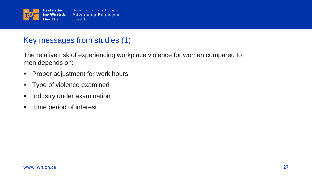

## Key messages from studies (1)

The relative risk of experiencing workplace violence for women compared to men depends on:

- **Proper adjustment for work hours**
- **Type of violence examined**
- **Industry under examination**
- **Time period of interest**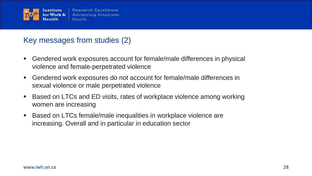

## Key messages from studies (2)

- Gendered work exposures account for female/male differences in physical violence and female-perpetrated violence
- Gendered work exposures do not account for female/male differences in sexual violence or male perpetrated violence
- Based on LTCs and ED visits, rates of workplace violence among working women are increasing
- Based on LTCs female/male inequalities in workplace violence are increasing. Overall and in particular in education sector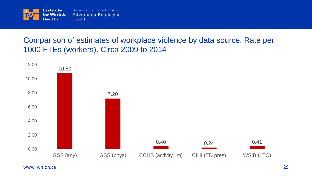

## Comparison of estimates of workplace violence by data source. Rate per 1000 FTEs (workers). Circa 2009 to 2014

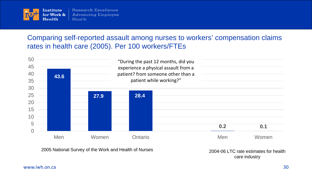

#### Comparing self-reported assault among nurses to workers' compensation claims rates in health care (2005). Per 100 workers/FTEs



2005 National Survey of the Work and Health of Nurses 2004-06 LTC rate estimates for health

care industry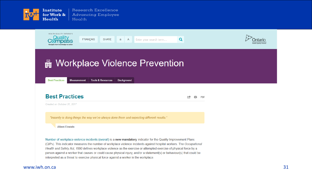



Created on October 31, 2017

"Insanity is doing things the way we've always done them and expecting different results."

**Albert Einstein** 

Number of workplace violence incidents (overall) is a new mandatory indicator for the Quality Improvement Plans (QIPs). This indicator measures the number of workplace violence incidents against hospital workers. The Occupational Health and Safety Act, 1990 defines workplace violence as the exercise or attempted exercise of physical force by a person against a worker that causes or could cause physical injury, and/or a statement(s) or behaviour(s) that could be interpreted as a threat to exercise physical force against a worker in the workplace.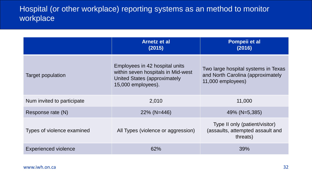## Hospital (or other workplace) reporting systems as an method to monitor workplace

|                             | <b>Arnetz et al</b><br>(2015)                                                                                              | Pompeii et al<br>(2016)                                                                       |
|-----------------------------|----------------------------------------------------------------------------------------------------------------------------|-----------------------------------------------------------------------------------------------|
| Target population           | Employees in 42 hospital units<br>within seven hospitals in Mid-west<br>United States (approximately<br>15,000 employees). | Two large hospital systems in Texas<br>and North Carolina (approximately<br>11,000 employees) |
| Num invited to participate  | 2,010                                                                                                                      | 11,000                                                                                        |
| Response rate (N)           | $22\%$ (N=446)                                                                                                             | 49% (N=5,385)                                                                                 |
| Types of violence examined  | All Types (violence or aggression)                                                                                         | Type II only (patient/visitor)<br>(assaults, attempted assault and<br>threats)                |
| <b>Experienced violence</b> | 62%                                                                                                                        | 39%                                                                                           |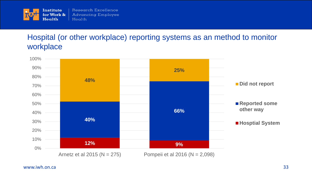

## Hospital (or other workplace) reporting systems as an method to monitor workplace

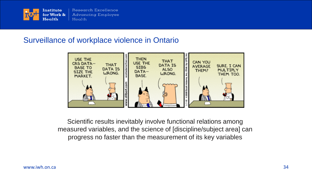

#### Surveillance of workplace violence in Ontario



Scientific results inevitably involve functional relations among measured variables, and the science of [discipline/subject area] can progress no faster than the measurement of its key variables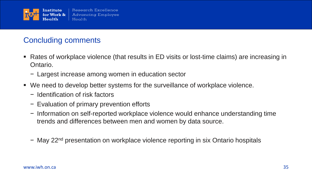

# Concluding comments

- Rates of workplace violence (that results in ED visits or lost-time claims) are increasing in Ontario.
	- − Largest increase among women in education sector
- We need to develop better systems for the surveillance of workplace violence.
	- − Identification of risk factors
	- − Evaluation of primary prevention efforts
	- − Information on self-reported workplace violence would enhance understanding time trends and differences between men and women by data source.
	- − May 22nd presentation on workplace violence reporting in six Ontario hospitals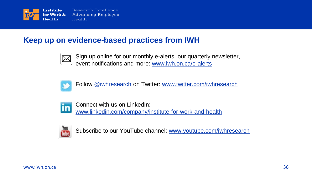

## **Keep up on evidence-based practices from IWH**



Sign up online for our monthly e-alerts, our quarterly newsletter, event notifications and more: [www.iwh.on.ca/e-alerts](http://www.iwh.on.ca/e-alerts)



Follow @iwhresearch on Twitter: [www.twitter.com/iwhresearch](http://www.twitter.com/iwhresearch)



Connect with us on LinkedIn: [www.linkedin.com/company/institute-for-work-and-health](http://www.linkedin.com/company/institute-for-work-and-health)



Subscribe to our YouTube channel: [www.youtube.com/iwhresearch](http://www.youtube.com/iwhresearch)